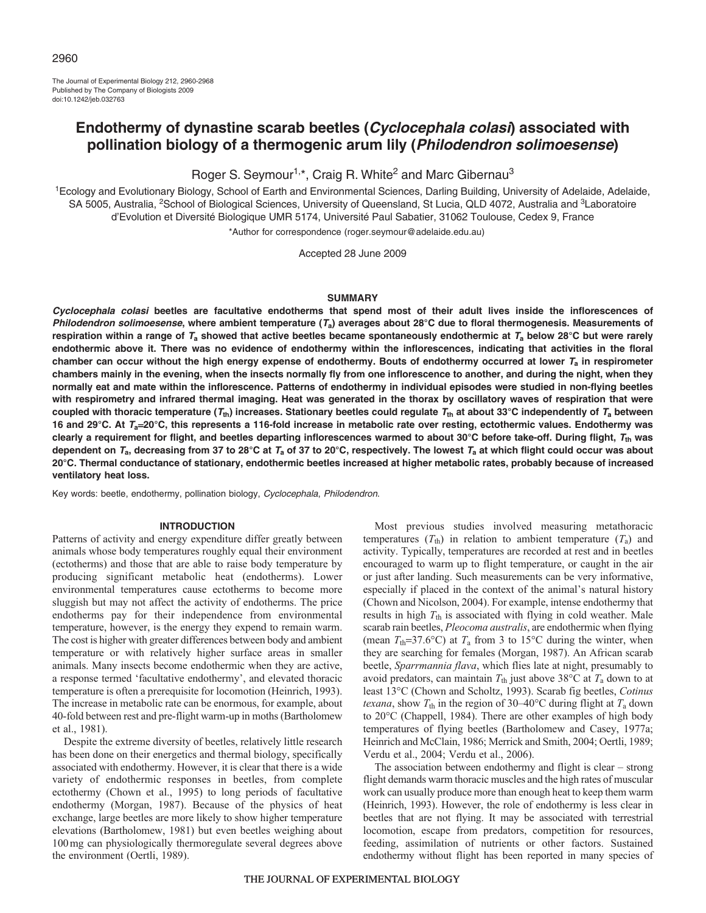The Journal of Experimental Biology 212, 2960-2968 Published by The Company of Biologists 2009 doi:10.1242/jeb.032763

# **Endothermy of dynastine scarab beetles (Cyclocephala colasi) associated with pollination biology of a thermogenic arum lily (Philodendron solimoesense)**

Roger S. Seymour<sup>1,\*</sup>, Craig R. White<sup>2</sup> and Marc Gibernau<sup>3</sup>

1Ecology and Evolutionary Biology, School of Earth and Environmental Sciences, Darling Building, University of Adelaide, Adelaide, SA 5005, Australia, <sup>2</sup>School of Biological Sciences, University of Queensland, St Lucia, QLD 4072, Australia and <sup>3</sup>Laboratoire d'Evolution et Diversité Biologique UMR 5174, Université Paul Sabatier, 31062 Toulouse, Cedex 9, France

\*Author for correspondence (roger.seymour@adelaide.edu.au)

Accepted 28 June 2009

## **SUMMARY**

**Cyclocephala colasi beetles are facultative endotherms that spend most of their adult lives inside the inflorescences of Philodendron solimoesense, where ambient temperature (Ta) averages about 28°C due to floral thermogenesis. Measurements of respiration within a range of T<sup>a</sup> showed that active beetles became spontaneously endothermic at T<sup>a</sup> below 28°C but were rarely endothermic above it. There was no evidence of endothermy within the inflorescences, indicating that activities in the floral chamber can occur without the high energy expense of endothermy. Bouts of endothermy occurred at lower T<sup>a</sup> in respirometer chambers mainly in the evening, when the insects normally fly from one inflorescence to another, and during the night, when they normally eat and mate within the inflorescence. Patterns of endothermy in individual episodes were studied in non-flying beetles with respirometry and infrared thermal imaging. Heat was generated in the thorax by oscillatory waves of respiration that were** coupled with thoracic temperature  $(T_{th})$  increases. Stationary beetles could regulate  $T_{th}$  at about 33°C independently of  $T_a$  between **16 and 29°C. At Ta**=**20°C, this represents a 116-fold increase in metabolic rate over resting, ectothermic values. Endothermy was clearly a requirement for flight, and beetles departing inflorescences warmed to about 30°C before take-off. During flight, Tth was** dependent on  $T_a$ , decreasing from 37 to 28°C at  $T_a$  of 37 to 20°C, respectively. The lowest  $T_a$  at which flight could occur was about **20°C. Thermal conductance of stationary, endothermic beetles increased at higher metabolic rates, probably because of increased ventilatory heat loss.**

Key words: beetle, endothermy, pollination biology, Cyclocephala, Philodendron.

## **INTRODUCTION**

Patterns of activity and energy expenditure differ greatly between animals whose body temperatures roughly equal their environment (ectotherms) and those that are able to raise body temperature by producing significant metabolic heat (endotherms). Lower environmental temperatures cause ectotherms to become more sluggish but may not affect the activity of endotherms. The price endotherms pay for their independence from environmental temperature, however, is the energy they expend to remain warm. The cost is higher with greater differences between body and ambient temperature or with relatively higher surface areas in smaller animals. Many insects become endothermic when they are active, a response termed 'facultative endothermy', and elevated thoracic temperature is often a prerequisite for locomotion (Heinrich, 1993). The increase in metabolic rate can be enormous, for example, about 40-fold between rest and pre-flight warm-up in moths (Bartholomew et al., 1981).

Despite the extreme diversity of beetles, relatively little research has been done on their energetics and thermal biology, specifically associated with endothermy. However, it is clear that there is a wide variety of endothermic responses in beetles, from complete ectothermy (Chown et al., 1995) to long periods of facultative endothermy (Morgan, 1987). Because of the physics of heat exchange, large beetles are more likely to show higher temperature elevations (Bartholomew, 1981) but even beetles weighing about 100mg can physiologically thermoregulate several degrees above the environment (Oertli, 1989).

Most previous studies involved measuring metathoracic temperatures  $(T<sub>th</sub>)$  in relation to ambient temperature  $(T<sub>a</sub>)$  and activity. Typically, temperatures are recorded at rest and in beetles encouraged to warm up to flight temperature, or caught in the air or just after landing. Such measurements can be very informative, especially if placed in the context of the animal's natural history (Chown and Nicolson, 2004). For example, intense endothermy that results in high *T*th is associated with flying in cold weather. Male scarab rain beetles, *Pleocoma australis*, are endothermic when flying (mean  $T_{\text{th}} = 37.6$ °C) at  $T_a$  from 3 to 15°C during the winter, when they are searching for females (Morgan, 1987). An African scarab beetle, *Sparrmannia flava*, which flies late at night, presumably to avoid predators, can maintain  $T_{\text{th}}$  just above 38°C at  $T_{\text{a}}$  down to at least 13°C (Chown and Scholtz, 1993). Scarab fig beetles, *Cotinus texana*, show  $T_{\text{th}}$  in the region of 30–40°C during flight at  $T_{\text{a}}$  down to 20°C (Chappell, 1984). There are other examples of high body temperatures of flying beetles (Bartholomew and Casey, 1977a; Heinrich and McClain, 1986; Merrick and Smith, 2004; Oertli, 1989; Verdu et al., 2004; Verdu et al., 2006).

The association between endothermy and flight is clear – strong flight demands warm thoracic muscles and the high rates of muscular work can usually produce more than enough heat to keep them warm (Heinrich, 1993). However, the role of endothermy is less clear in beetles that are not flying. It may be associated with terrestrial locomotion, escape from predators, competition for resources, feeding, assimilation of nutrients or other factors. Sustained endothermy without flight has been reported in many species of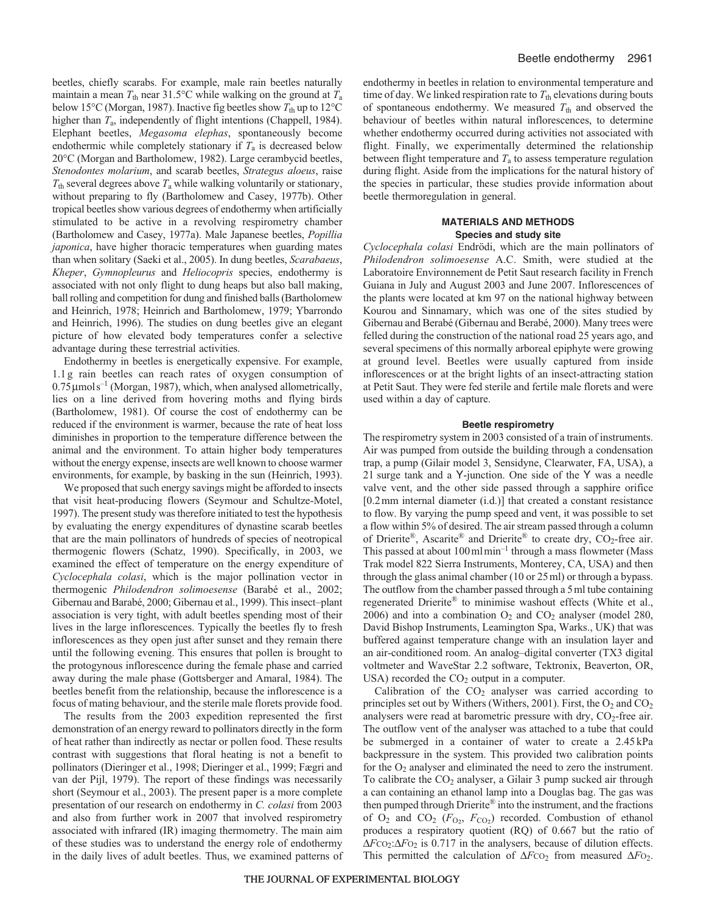beetles, chiefly scarabs. For example, male rain beetles naturally maintain a mean  $T_{\text{th}}$  near 31.5°C while walking on the ground at  $T_{\text{a}}$ below 15°C (Morgan, 1987). Inactive fig beetles show  $T_{\text{th}}$  up to 12°C higher than *T*a, independently of flight intentions (Chappell, 1984). Elephant beetles, *Megasoma elephas*, spontaneously become endothermic while completely stationary if  $T_a$  is decreased below 20°C (Morgan and Bartholomew, 1982). Large cerambycid beetles, *Stenodontes molarium*, and scarab beetles, *Strategus aloeus*, raise  $T_{\text{th}}$  several degrees above  $T_{\text{a}}$  while walking voluntarily or stationary, without preparing to fly (Bartholomew and Casey, 1977b). Other tropical beetles show various degrees of endothermy when artificially stimulated to be active in a revolving respirometry chamber (Bartholomew and Casey, 1977a). Male Japanese beetles, *Popillia japonica*, have higher thoracic temperatures when guarding mates than when solitary (Saeki et al., 2005). In dung beetles, *Scarabaeus*, *Kheper*, *Gymnopleurus* and *Heliocopris* species, endothermy is associated with not only flight to dung heaps but also ball making, ball rolling and competition for dung and finished balls (Bartholomew and Heinrich, 1978; Heinrich and Bartholomew, 1979; Ybarrondo and Heinrich, 1996). The studies on dung beetles give an elegant picture of how elevated body temperatures confer a selective advantage during these terrestrial activities.

Endothermy in beetles is energetically expensive. For example, 1.1g rain beetles can reach rates of oxygen consumption of  $0.75 \mu$ mols<sup>-1</sup> (Morgan, 1987), which, when analysed allometrically, lies on a line derived from hovering moths and flying birds (Bartholomew, 1981). Of course the cost of endothermy can be reduced if the environment is warmer, because the rate of heat loss diminishes in proportion to the temperature difference between the animal and the environment. To attain higher body temperatures without the energy expense, insects are well known to choose warmer environments, for example, by basking in the sun (Heinrich, 1993).

We proposed that such energy savings might be afforded to insects that visit heat-producing flowers (Seymour and Schultze-Motel, 1997). The present study was therefore initiated to test the hypothesis by evaluating the energy expenditures of dynastine scarab beetles that are the main pollinators of hundreds of species of neotropical thermogenic flowers (Schatz, 1990). Specifically, in 2003, we examined the effect of temperature on the energy expenditure of *Cyclocephala colasi*, which is the major pollination vector in thermogenic *Philodendron solimoesense* (Barabé et al., 2002; Gibernau and Barabé, 2000; Gibernau et al., 1999). This insect–plant association is very tight, with adult beetles spending most of their lives in the large inflorescences. Typically the beetles fly to fresh inflorescences as they open just after sunset and they remain there until the following evening. This ensures that pollen is brought to the protogynous inflorescence during the female phase and carried away during the male phase (Gottsberger and Amaral, 1984). The beetles benefit from the relationship, because the inflorescence is a focus of mating behaviour, and the sterile male florets provide food.

The results from the 2003 expedition represented the first demonstration of an energy reward to pollinators directly in the form of heat rather than indirectly as nectar or pollen food. These results contrast with suggestions that floral heating is not a benefit to pollinators (Dieringer et al., 1998; Dieringer et al., 1999; Fægri and van der Pijl, 1979). The report of these findings was necessarily short (Seymour et al., 2003). The present paper is a more complete presentation of our research on endothermy in *C. colasi* from 2003 and also from further work in 2007 that involved respirometry associated with infrared (IR) imaging thermometry. The main aim of these studies was to understand the energy role of endothermy in the daily lives of adult beetles. Thus, we examined patterns of endothermy in beetles in relation to environmental temperature and time of day. We linked respiration rate to  $T_{\text{th}}$  elevations during bouts of spontaneous endothermy. We measured  $T_{\text{th}}$  and observed the behaviour of beetles within natural inflorescences, to determine whether endothermy occurred during activities not associated with flight. Finally, we experimentally determined the relationship between flight temperature and  $T_a$  to assess temperature regulation during flight. Aside from the implications for the natural history of the species in particular, these studies provide information about beetle thermoregulation in general.

# **MATERIALS AND METHODS Species and study site**

*Cyclocephala colasi* Endrödi, which are the main pollinators of *Philodendron solimoesense* A.C. Smith, were studied at the Laboratoire Environnement de Petit Saut research facility in French Guiana in July and August 2003 and June 2007. Inflorescences of the plants were located at km 97 on the national highway between Kourou and Sinnamary, which was one of the sites studied by Gibernau and Berabé (Gibernau and Berabé, 2000). Many trees were felled during the construction of the national road 25 years ago, and several specimens of this normally arboreal epiphyte were growing at ground level. Beetles were usually captured from inside inflorescences or at the bright lights of an insect-attracting station at Petit Saut. They were fed sterile and fertile male florets and were used within a day of capture.

## **Beetle respirometry**

The respirometry system in 2003 consisted of a train of instruments. Air was pumped from outside the building through a condensation trap, a pump (Gilair model 3, Sensidyne, Clearwater, FA, USA), a 2l surge tank and a Y-junction. One side of the Y was a needle valve vent, and the other side passed through a sapphire orifice [0.2mm internal diameter (i.d.)] that created a constant resistance to flow. By varying the pump speed and vent, it was possible to set a flow within 5% of desired. The air stream passed through a column of Drierite®, Ascarite® and Drierite® to create dry,  $CO_2$ -free air. This passed at about  $100 \,\text{ml}\,\text{min}^{-1}$  through a mass flowmeter (Mass Trak model 822 Sierra Instruments, Monterey, CA, USA) and then through the glass animal chamber (10 or 25ml) or through a bypass. The outflow from the chamber passed through a 5ml tube containing regenerated Drierite® to minimise washout effects (White et al., 2006) and into a combination  $O_2$  and  $CO_2$  analyser (model 280, David Bishop Instruments, Leamington Spa, Warks., UK) that was buffered against temperature change with an insulation layer and an air-conditioned room. An analog–digital converter (TX3 digital voltmeter and WaveStar 2.2 software, Tektronix, Beaverton, OR, USA) recorded the  $CO<sub>2</sub>$  output in a computer.

Calibration of the  $CO<sub>2</sub>$  analyser was carried according to principles set out by Withers (Withers, 2001). First, the  $O_2$  and  $CO_2$ analysers were read at barometric pressure with dry,  $CO<sub>2</sub>$ -free air. The outflow vent of the analyser was attached to a tube that could be submerged in a container of water to create a 2.45 kPa backpressure in the system. This provided two calibration points for the  $O_2$  analyser and eliminated the need to zero the instrument. To calibrate the  $CO<sub>2</sub>$  analyser, a Gilair 3 pump sucked air through a can containing an ethanol lamp into a Douglas bag. The gas was then pumped through Drierite® into the instrument, and the fractions of  $O_2$  and  $CO_2$  ( $F_{O_2}$ ,  $F_{CO_2}$ ) recorded. Combustion of ethanol produces a respiratory quotient (RQ) of 0.667 but the ratio of Δ*F*CO2:Δ*F*O2 is 0.717 in the analysers, because of dilution effects. This permitted the calculation of  $\Delta F_{\text{CO}_2}$  from measured  $\Delta F_{\text{O}_2}$ .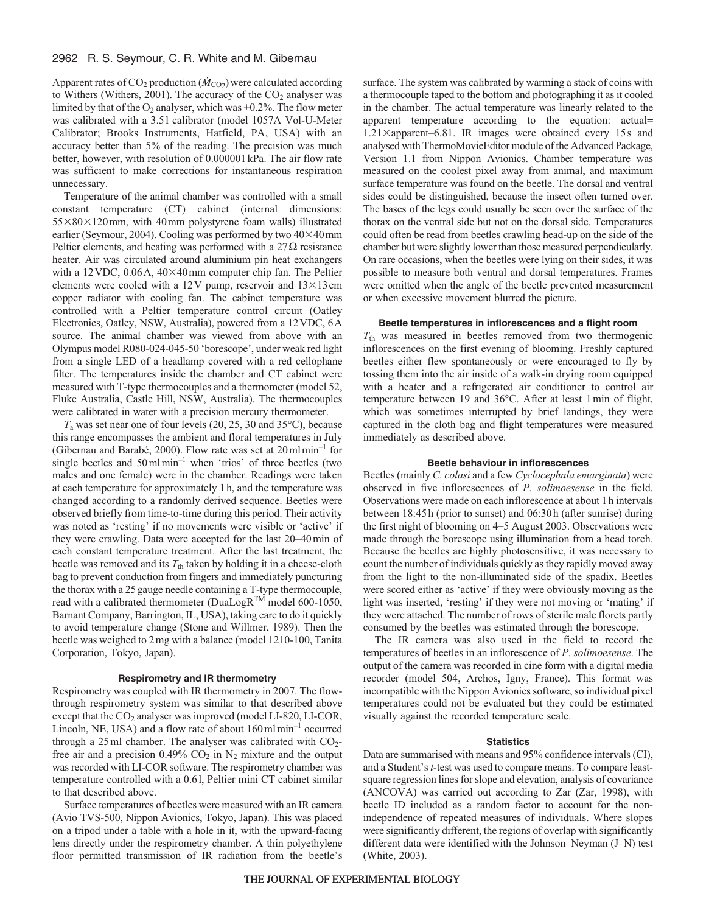# 2962 R. S. Seymour, C. R. White and M. Gibernau

Apparent rates of  $CO_2$  production ( $\dot{M}_{CO_2}$ ) were calculated according to Withers (Withers, 2001). The accuracy of the  $CO<sub>2</sub>$  analyser was limited by that of the  $O_2$  analyser, which was  $\pm 0.2$ %. The flow meter was calibrated with a 3.5l calibrator (model 1057A Vol-U-Meter Calibrator; Brooks Instruments, Hatfield, PA, USA) with an accuracy better than 5% of the reading. The precision was much better, however, with resolution of 0.000001kPa. The air flow rate was sufficient to make corrections for instantaneous respiration unnecessary.

Temperature of the animal chamber was controlled with a small constant temperature (CT) cabinet (internal dimensions: 55×80×120mm, with 40mm polystyrene foam walls) illustrated earlier (Seymour, 2004). Cooling was performed by two  $40\times40$  mm Peltier elements, and heating was performed with a  $27\Omega$  resistance heater. Air was circulated around aluminium pin heat exchangers with a  $12$  VDC,  $0.06$ A,  $40\times40$  mm computer chip fan. The Peltier elements were cooled with a  $12V$  pump, reservoir and  $13\times13$  cm copper radiator with cooling fan. The cabinet temperature was controlled with a Peltier temperature control circuit (Oatley Electronics, Oatley, NSW, Australia), powered from a 12VDC, 6A source. The animal chamber was viewed from above with an Olympus model R080-024-045-50 'borescope', under weak red light from a single LED of a headlamp covered with a red cellophane filter. The temperatures inside the chamber and CT cabinet were measured with T-type thermocouples and a thermometer (model 52, Fluke Australia, Castle Hill, NSW, Australia). The thermocouples were calibrated in water with a precision mercury thermometer.

*T*<sup>a</sup> was set near one of four levels (20, 25, 30 and 35°C), because this range encompasses the ambient and floral temperatures in July (Gibernau and Barabé, 2000). Flow rate was set at  $20 \text{ml} \text{min}^{-1}$  for single beetles and  $50 \,\mathrm{ml}\,\mathrm{min}^{-1}$  when 'trios' of three beetles (two males and one female) were in the chamber. Readings were taken at each temperature for approximately 1h, and the temperature was changed according to a randomly derived sequence. Beetles were observed briefly from time-to-time during this period. Their activity was noted as 'resting' if no movements were visible or 'active' if they were crawling. Data were accepted for the last 20–40min of each constant temperature treatment. After the last treatment, the beetle was removed and its  $T_{\text{th}}$  taken by holding it in a cheese-cloth bag to prevent conduction from fingers and immediately puncturing the thorax with a 25gauge needle containing a T-type thermocouple, read with a calibrated thermometer (DuaLogR<sup>TM</sup> model 600-1050, Barnant Company, Barrington, IL, USA), taking care to do it quickly to avoid temperature change (Stone and Willmer, 1989). Then the beetle was weighed to 2mg with a balance (model 1210-100, Tanita Corporation, Tokyo, Japan).

# **Respirometry and IR thermometry**

Respirometry was coupled with IR thermometry in 2007. The flowthrough respirometry system was similar to that described above except that the CO<sub>2</sub> analyser was improved (model LI-820, LI-COR, Lincoln, NE, USA) and a flow rate of about  $160 \text{ ml min}^{-1}$  occurred through a  $25$  ml chamber. The analyser was calibrated with  $CO<sub>2</sub>$ free air and a precision  $0.49\%$  CO<sub>2</sub> in N<sub>2</sub> mixture and the output was recorded with LI-COR software. The respirometry chamber was temperature controlled with a 0.6l, Peltier mini CT cabinet similar to that described above.

Surface temperatures of beetles were measured with an IR camera (Avio TVS-500, Nippon Avionics, Tokyo, Japan). This was placed on a tripod under a table with a hole in it, with the upward-facing lens directly under the respirometry chamber. A thin polyethylene floor permitted transmission of IR radiation from the beetle's surface. The system was calibrated by warming a stack of coins with a thermocouple taped to the bottom and photographing it as it cooled in the chamber. The actual temperature was linearly related to the apparent temperature according to the equation: actual=  $1.21\times$ apparent–6.81. IR images were obtained every 15s and analysed with ThermoMovieEditor module of the Advanced Package, Version 1.1 from Nippon Avionics. Chamber temperature was measured on the coolest pixel away from animal, and maximum surface temperature was found on the beetle. The dorsal and ventral sides could be distinguished, because the insect often turned over. The bases of the legs could usually be seen over the surface of the thorax on the ventral side but not on the dorsal side. Temperatures could often be read from beetles crawling head-up on the side of the chamber but were slightly lower than those measured perpendicularly. On rare occasions, when the beetles were lying on their sides, it was possible to measure both ventral and dorsal temperatures. Frames were omitted when the angle of the beetle prevented measurement or when excessive movement blurred the picture.

## **Beetle temperatures in inflorescences and a flight room**

*T*th was measured in beetles removed from two thermogenic inflorescences on the first evening of blooming. Freshly captured beetles either flew spontaneously or were encouraged to fly by tossing them into the air inside of a walk-in drying room equipped with a heater and a refrigerated air conditioner to control air temperature between 19 and 36°C. After at least 1min of flight, which was sometimes interrupted by brief landings, they were captured in the cloth bag and flight temperatures were measured immediately as described above.

# **Beetle behaviour in inflorescences**

Beetles (mainly *C. colasi* and a few *Cyclocephala emarginata*) were observed in five inflorescences of *P. solimoesense* in the field. Observations were made on each inflorescence at about 1h intervals between 18:45h (prior to sunset) and 06:30h (after sunrise) during the first night of blooming on 4–5 August 2003. Observations were made through the borescope using illumination from a head torch. Because the beetles are highly photosensitive, it was necessary to count the number of individuals quickly as they rapidly moved away from the light to the non-illuminated side of the spadix. Beetles were scored either as 'active' if they were obviously moving as the light was inserted, 'resting' if they were not moving or 'mating' if they were attached. The number of rows of sterile male florets partly consumed by the beetles was estimated through the borescope.

The IR camera was also used in the field to record the temperatures of beetles in an inflorescence of *P. solimoesense*. The output of the camera was recorded in cine form with a digital media recorder (model 504, Archos, Igny, France). This format was incompatible with the Nippon Avionics software, so individual pixel temperatures could not be evaluated but they could be estimated visually against the recorded temperature scale.

#### **Statistics**

Data are summarised with means and 95% confidence intervals (CI), and a Student's *t*-test was used to compare means. To compare leastsquare regression lines for slope and elevation, analysis of covariance (ANCOVA) was carried out according to Zar (Zar, 1998), with beetle ID included as a random factor to account for the nonindependence of repeated measures of individuals. Where slopes were significantly different, the regions of overlap with significantly different data were identified with the Johnson–Neyman (J–N) test (White, 2003).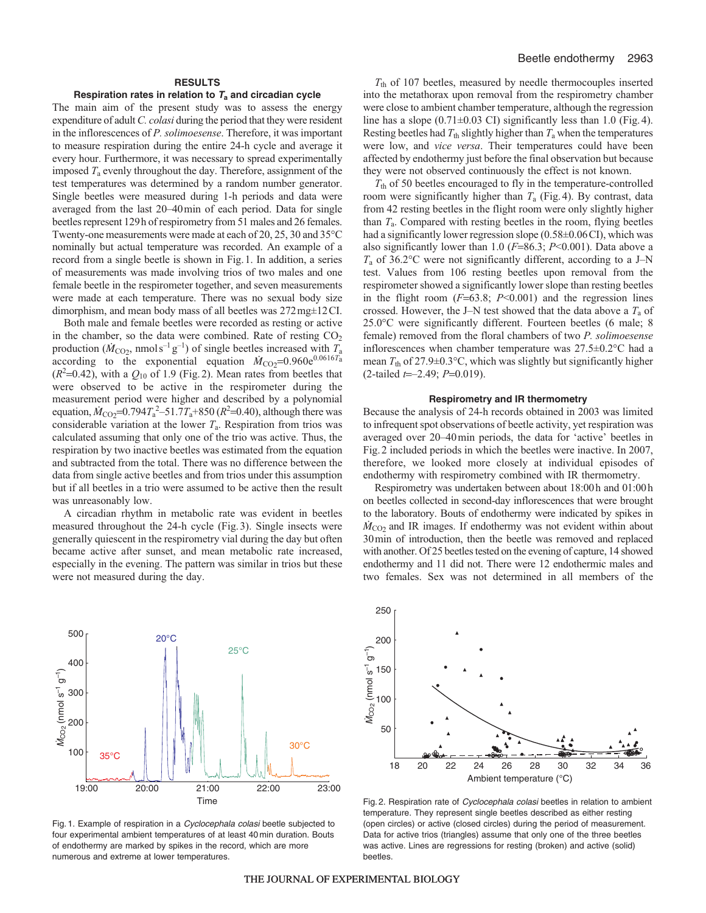## **RESULTS**

## **Respiration rates in relation to T<sup>a</sup> and circadian cycle**

The main aim of the present study was to assess the energy expenditure of adult *C. colasi* during the period that they were resident in the inflorescences of *P. solimoesense*. Therefore, it was important to measure respiration during the entire 24-h cycle and average it every hour. Furthermore, it was necessary to spread experimentally imposed *T*<sup>a</sup> evenly throughout the day. Therefore, assignment of the test temperatures was determined by a random number generator. Single beetles were measured during 1-h periods and data were averaged from the last 20–40min of each period. Data for single beetles represent 129h of respirometry from 51 males and 26 females. Twenty-one measurements were made at each of 20, 25, 30 and 35°C nominally but actual temperature was recorded. An example of a record from a single beetle is shown in Fig.1. In addition, a series of measurements was made involving trios of two males and one female beetle in the respirometer together, and seven measurements were made at each temperature. There was no sexual body size dimorphism, and mean body mass of all beetles was 272mg±12CI.

Both male and female beetles were recorded as resting or active in the chamber, so the data were combined. Rate of resting  $CO<sub>2</sub>$ production ( $\dot{M}_{\text{CO}_2}$ , nmols<sup>-1</sup> g<sup>-1</sup>) of single beetles increased with  $T_a$ according to the exponential equation  $\dot{M}_{\text{CO}}$ =0.960e<sup>0.0616T</sup>a  $(R<sup>2</sup>=0.42)$ , with a  $Q<sub>10</sub>$  of 1.9 (Fig. 2). Mean rates from beetles that were observed to be active in the respirometer during the measurement period were higher and described by a polynomial equation,  $\dot{M}_{\text{CO}_2}$ =0.794 $T_a^2$ -51.7 $T_a$ +850 ( $R^2$ =0.40), although there was considerable variation at the lower *T*a. Respiration from trios was calculated assuming that only one of the trio was active. Thus, the respiration by two inactive beetles was estimated from the equation and subtracted from the total. There was no difference between the data from single active beetles and from trios under this assumption but if all beetles in a trio were assumed to be active then the result was unreasonably low.

A circadian rhythm in metabolic rate was evident in beetles measured throughout the 24-h cycle (Fig.3). Single insects were generally quiescent in the respirometry vial during the day but often became active after sunset, and mean metabolic rate increased, especially in the evening. The pattern was similar in trios but these were not measured during the day.



Fig. 1. Example of respiration in a Cyclocephala colasi beetle subjected to four experimental ambient temperatures of at least 40 min duration. Bouts of endothermy are marked by spikes in the record, which are more numerous and extreme at lower temperatures.

*T*th of 107 beetles, measured by needle thermocouples inserted into the metathorax upon removal from the respirometry chamber were close to ambient chamber temperature, although the regression line has a slope (0.71±0.03 CI) significantly less than 1.0 (Fig.4). Resting beetles had  $T_{\text{th}}$  slightly higher than  $T_{\text{a}}$  when the temperatures were low, and *vice versa*. Their temperatures could have been affected by endothermy just before the final observation but because they were not observed continuously the effect is not known.

*T*th of 50 beetles encouraged to fly in the temperature-controlled room were significantly higher than *T*<sup>a</sup> (Fig.4). By contrast, data from 42 resting beetles in the flight room were only slightly higher than *T*a. Compared with resting beetles in the room, flying beetles had a significantly lower regression slope (0.58±0.06CI), which was also significantly lower than 1.0 (*F*=86.3; *P*<0.001). Data above a *T*<sup>a</sup> of 36.2°C were not significantly different, according to a J–N test. Values from 106 resting beetles upon removal from the respirometer showed a significantly lower slope than resting beetles in the flight room (*F*=63.8; *P*<0.001) and the regression lines crossed. However, the J–N test showed that the data above a  $T_a$  of 25.0°C were significantly different. Fourteen beetles (6 male; 8 female) removed from the floral chambers of two *P. solimoesense* inflorescences when chamber temperature was 27.5±0.2°C had a mean  $T_{\text{th}}$  of 27.9 $\pm$ 0.3°C, which was slightly but significantly higher (2-tailed *t*=–2.49; *P*=0.019).

# **Respirometry and IR thermometry**

Because the analysis of 24-h records obtained in 2003 was limited to infrequent spot observations of beetle activity, yet respiration was averaged over 20–40min periods, the data for 'active' beetles in Fig.2 included periods in which the beetles were inactive. In 2007, therefore, we looked more closely at individual episodes of endothermy with respirometry combined with IR thermometry.

Respirometry was undertaken between about 18:00h and 01:00h on beetles collected in second-day inflorescences that were brought to the laboratory. Bouts of endothermy were indicated by spikes in  $\dot{M}_{\text{CO}_2}$  and IR images. If endothermy was not evident within about 30min of introduction, then the beetle was removed and replaced with another. Of 25 beetles tested on the evening of capture, 14 showed endothermy and 11 did not. There were 12 endothermic males and two females. Sex was not determined in all members of the



Fig. 2. Respiration rate of Cyclocephala colasi beetles in relation to ambient temperature. They represent single beetles described as either resting (open circles) or active (closed circles) during the period of measurement. Data for active trios (triangles) assume that only one of the three beetles was active. Lines are regressions for resting (broken) and active (solid) beetles.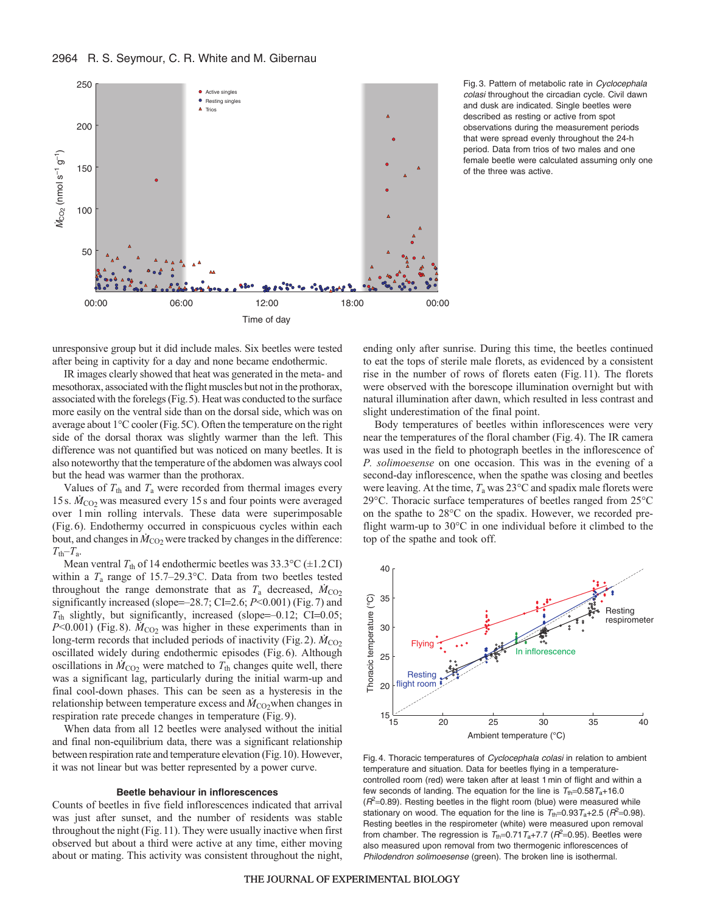

Fig. 3. Pattern of metabolic rate in Cyclocephala colasi throughout the circadian cycle. Civil dawn and dusk are indicated. Single beetles were described as resting or active from spot observations during the measurement periods that were spread evenly throughout the 24-h period. Data from trios of two males and one female beetle were calculated assuming only one of the three was active.

unresponsive group but it did include males. Six beetles were tested after being in captivity for a day and none became endothermic.

IR images clearly showed that heat was generated in the meta- and mesothorax, associated with the flight muscles but not in the prothorax, associated with the forelegs (Fig.5). Heat was conducted to the surface more easily on the ventral side than on the dorsal side, which was on average about 1°C cooler (Fig.5C). Often the temperature on the right side of the dorsal thorax was slightly warmer than the left. This difference was not quantified but was noticed on many beetles. It is also noteworthy that the temperature of the abdomen was always cool but the head was warmer than the prothorax.

Values of  $T_{\text{th}}$  and  $T_{\text{a}}$  were recorded from thermal images every 15s.  $\dot{M}_{\text{CO}_2}$  was measured every 15s and four points were averaged over 1 min rolling intervals. These data were superimposable (Fig.6). Endothermy occurred in conspicuous cycles within each bout, and changes in  $\dot{M}_{\text{CO}_2}$  were tracked by changes in the difference:  $T_{\text{th}}-T_{\text{a}}$ .

Mean ventral  $T_{\text{th}}$  of 14 endothermic beetles was 33.3°C ( $\pm$ 1.2CI) within a *T*<sup>a</sup> range of 15.7–29.3°C. Data from two beetles tested throughout the range demonstrate that as  $T_a$  decreased,  $\dot{M}_{CO_2}$ significantly increased (slope=–28.7; CI=2.6; *P*<0.001) (Fig.7) and *T*th slightly, but significantly, increased (slope=–0.12; CI=0.05;  $P<0.001$ ) (Fig.8).  $\dot{M}_{CO2}$  was higher in these experiments than in long-term records that included periods of inactivity (Fig. 2).  $\dot{M}_{\rm CO2}$ oscillated widely during endothermic episodes (Fig.6). Although oscillations in  $\dot{M}_{\text{CO2}}$  were matched to  $T_{\text{th}}$  changes quite well, there was a significant lag, particularly during the initial warm-up and final cool-down phases. This can be seen as a hysteresis in the relationship between temperature excess and  $\dot{M}_{\text{CO2}}$ when changes in respiration rate precede changes in temperature (Fig.9).

When data from all 12 beetles were analysed without the initial and final non-equilibrium data, there was a significant relationship between respiration rate and temperature elevation (Fig.10). However, it was not linear but was better represented by a power curve.

#### **Beetle behaviour in inflorescences**

Counts of beetles in five field inflorescences indicated that arrival was just after sunset, and the number of residents was stable throughout the night (Fig.11). They were usually inactive when first observed but about a third were active at any time, either moving about or mating. This activity was consistent throughout the night, ending only after sunrise. During this time, the beetles continued to eat the tops of sterile male florets, as evidenced by a consistent rise in the number of rows of florets eaten (Fig.11). The florets were observed with the borescope illumination overnight but with natural illumination after dawn, which resulted in less contrast and slight underestimation of the final point.

Body temperatures of beetles within inflorescences were very near the temperatures of the floral chamber (Fig.4). The IR camera was used in the field to photograph beetles in the inflorescence of *P. solimoesense* on one occasion. This was in the evening of a second-day inflorescence, when the spathe was closing and beetles were leaving. At the time, *T*<sup>a</sup> was 23°C and spadix male florets were 29°C. Thoracic surface temperatures of beetles ranged from 25°C on the spathe to 28°C on the spadix. However, we recorded preflight warm-up to 30°C in one individual before it climbed to the top of the spathe and took off.



Fig. 4. Thoracic temperatures of Cyclocephala colasi in relation to ambient temperature and situation. Data for beetles flying in a temperaturecontrolled room (red) were taken after at least 1 min of flight and within a few seconds of landing. The equation for the line is  $T_{th}=0.58T_a+16.0$  $(R<sup>2</sup>=0.89)$ . Resting beetles in the flight room (blue) were measured while stationary on wood. The equation for the line is  $T_{\text{th}}=0.93T_{\text{a}}+2.5$  ( $R^2=0.98$ ). Resting beetles in the respirometer (white) were measured upon removal from chamber. The regression is  $T_{\text{th}}=0.71 T_{\text{a}}+7.7$  ( $R^2=0.95$ ). Beetles were also measured upon removal from two thermogenic inflorescences of Philodendron solimoesense (green). The broken line is isothermal.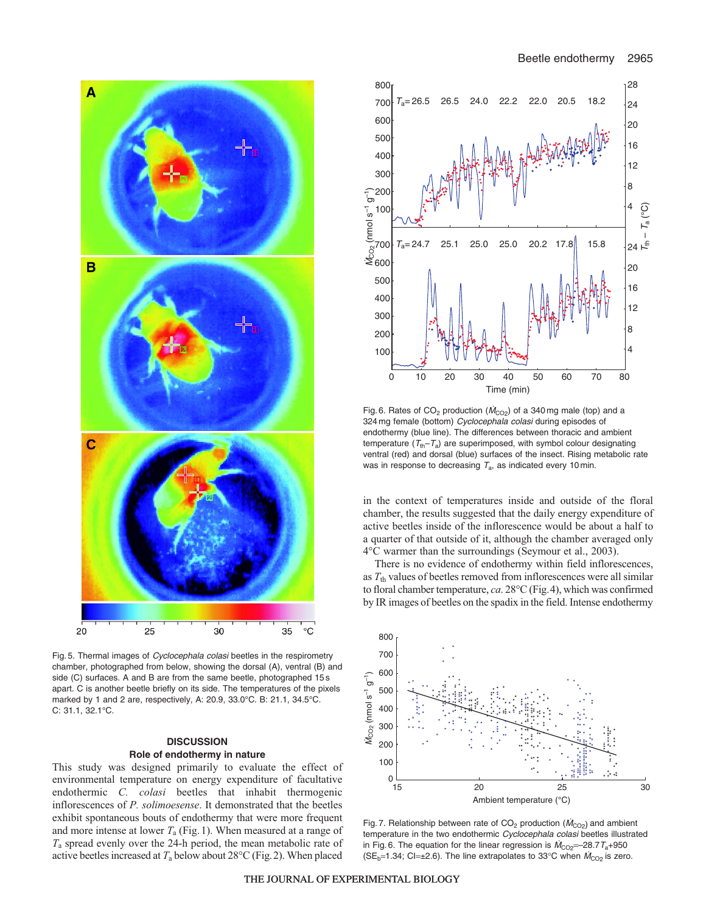

Fig. 5. Thermal images of Cyclocephala colasi beetles in the respirometry chamber, photographed from below, showing the dorsal (A), ventral (B) and side (C) surfaces. A and B are from the same beetle, photographed 15 s apart. C is another beetle briefly on its side. The temperatures of the pixels marked by 1 and 2 are, respectively, A: 20.9, 33.0°C. B: 21.1, 34.5°C. C: 31.1, 32.1°C.

# **DISCUSSION Role of endothermy in nature**

This study was designed primarily to evaluate the effect of environmental temperature on energy expenditure of facultative endothermic *C. colasi* beetles that inhabit thermogenic inflorescences of *P. solimoesense*. It demonstrated that the beetles exhibit spontaneous bouts of endothermy that were more frequent and more intense at lower  $T_a$  (Fig. 1). When measured at a range of *T*<sup>a</sup> spread evenly over the 24-h period, the mean metabolic rate of active beetles increased at  $T_a$  below about 28 $\rm ^{\circ}C$  (Fig. 2). When placed



Fig. 6. Rates of  $CO_2$  production ( $\dot{M}_{CO_2}$ ) of a 340 mg male (top) and a 324 mg female (bottom) Cyclocephala colasi during episodes of endothermy (blue line). The differences between thoracic and ambient temperature  $(T_{\text{th}}-T_{\text{a}})$  are superimposed, with symbol colour designating ventral (red) and dorsal (blue) surfaces of the insect. Rising metabolic rate was in response to decreasing  $T_a$ , as indicated every 10 min.

in the context of temperatures inside and outside of the floral chamber, the results suggested that the daily energy expenditure of active beetles inside of the inflorescence would be about a half to a quarter of that outside of it, although the chamber averaged only 4°C warmer than the surroundings (Seymour et al., 2003).

There is no evidence of endothermy within field inflorescences, as *T*th values of beetles removed from inflorescences were all similar to floral chamber temperature, *ca*. 28°C (Fig.4), which was confirmed by IR images of beetles on the spadix in the field. Intense endothermy



Fig. 7. Relationship between rate of CO<sub>2</sub> production ( $\dot{M}_{CO_2}$ ) and ambient temperature in the two endothermic Cyclocephala colasi beetles illustrated in Fig. 6. The equation for the linear regression is  $\dot{M}_{\text{CO2}}$ =-28.7T<sub>a</sub>+950 (SE<sub>b</sub>=1.34; Cl= $\pm$ 2.6). The line extrapolates to 33°C when  $\dot{M}_{\text{CO}_2}$  is zero.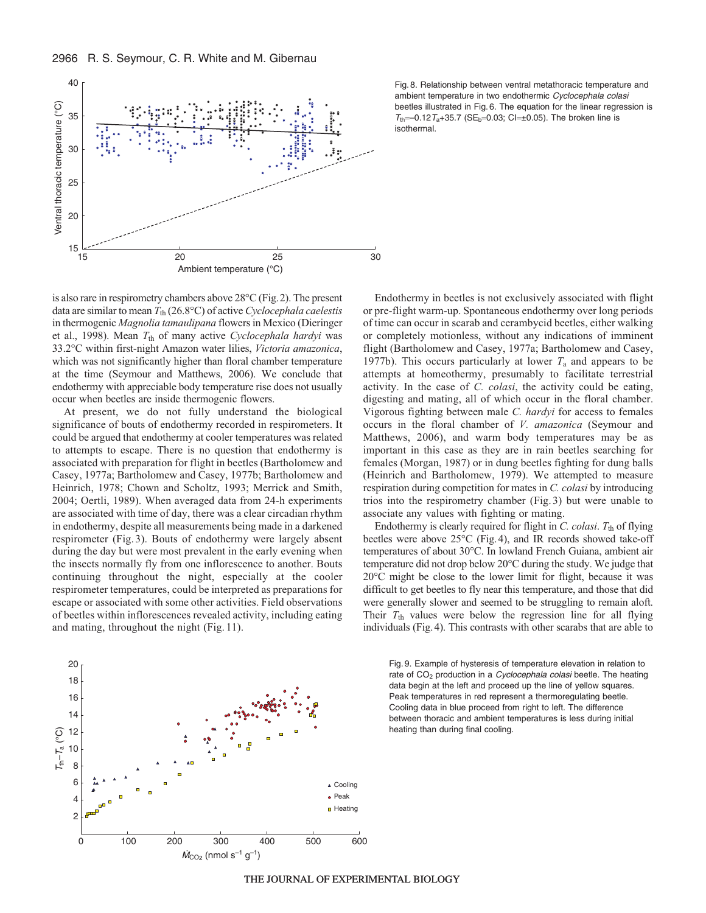is also rare in respirometry chambers above 28°C (Fig.2). The present data are similar to mean *T*th (26.8°C) of active *Cyclocephala caelestis* in thermogenic *Magnolia tamaulipana* flowers in Mexico (Dieringer et al., 1998). Mean  $T_{th}$  of many active *Cyclocephala hardyi* was 33.2°C within first-night Amazon water lilies, *Victoria amazonica*, which was not significantly higher than floral chamber temperature at the time (Seymour and Matthews, 2006). We conclude that endothermy with appreciable body temperature rise does not usually occur when beetles are inside thermogenic flowers.

At present, we do not fully understand the biological significance of bouts of endothermy recorded in respirometers. It could be argued that endothermy at cooler temperatures was related to attempts to escape. There is no question that endothermy is associated with preparation for flight in beetles (Bartholomew and Casey, 1977a; Bartholomew and Casey, 1977b; Bartholomew and Heinrich, 1978; Chown and Scholtz, 1993; Merrick and Smith, 2004; Oertli, 1989). When averaged data from 24-h experiments are associated with time of day, there was a clear circadian rhythm in endothermy, despite all measurements being made in a darkened respirometer (Fig. 3). Bouts of endothermy were largely absent during the day but were most prevalent in the early evening when the insects normally fly from one inflorescence to another. Bouts continuing throughout the night, especially at the cooler respirometer temperatures, could be interpreted as preparations for escape or associated with some other activities. Field observations of beetles within inflorescences revealed activity, including eating and mating, throughout the night (Fig. 11).

Fig. 8. Relationship between ventral metathoracic temperature and ambient temperature in two endothermic Cyclocephala colasi beetles illustrated in Fig. 6. The equation for the linear regression is  $T_{\text{th}}$ =–0.12 $T_{\text{a}}$ +35.7 (SE<sub>b</sub>=0.03; Cl=±0.05). The broken line is isothermal.

Endothermy in beetles is not exclusively associated with flight or pre-flight warm-up. Spontaneous endothermy over long periods of time can occur in scarab and cerambycid beetles, either walking or completely motionless, without any indications of imminent flight (Bartholomew and Casey, 1977a; Bartholomew and Casey, 1977b). This occurs particularly at lower  $T_a$  and appears to be attempts at homeothermy, presumably to facilitate terrestrial activity. In the case of *C. colasi*, the activity could be eating, digesting and mating, all of which occur in the floral chamber. Vigorous fighting between male *C. hardyi* for access to females occurs in the floral chamber of *V. amazonica* (Seymour and Matthews, 2006), and warm body temperatures may be as important in this case as they are in rain beetles searching for females (Morgan, 1987) or in dung beetles fighting for dung balls (Heinrich and Bartholomew, 1979). We attempted to measure respiration during competition for mates in *C. colasi* by introducing trios into the respirometry chamber (Fig. 3) but were unable to associate any values with fighting or mating.

Endothermy is clearly required for flight in *C. colasi.*  $T_{\text{th}}$  of flying beetles were above 25°C (Fig.4), and IR records showed take-off temperatures of about 30°C. In lowland French Guiana, ambient air temperature did not drop below 20°C during the study. We judge that 20°C might be close to the lower limit for flight, because it was difficult to get beetles to fly near this temperature, and those that did were generally slower and seemed to be struggling to remain aloft. Their  $T_{\text{th}}$  values were below the regression line for all flying individuals (Fig.4). This contrasts with other scarabs that are able to

Fig. 9. Example of hysteresis of temperature elevation in relation to rate of CO<sub>2</sub> production in a *Cyclocephala colasi* beetle. The heating data begin at the left and proceed up the line of yellow squares. Peak temperatures in red represent a thermoregulating beetle. Cooling data in blue proceed from right to left. The difference between thoracic and ambient temperatures is less during initial heating than during final cooling.





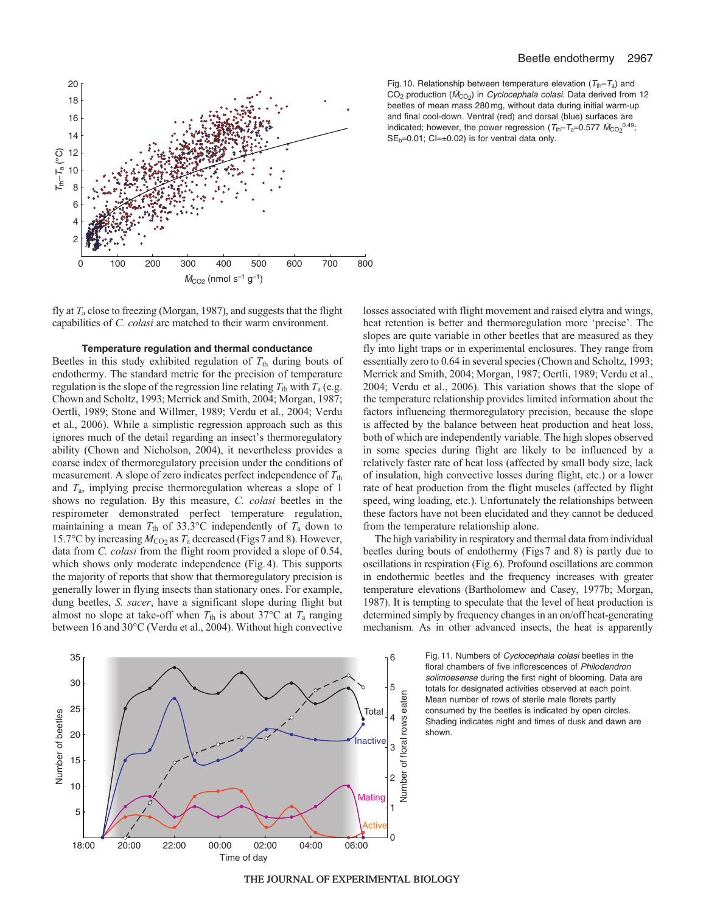



fly at *T*<sup>a</sup> close to freezing (Morgan, 1987), and suggests that the flight capabilities of *C. colasi* are matched to their warm environment.

#### **Temperature regulation and thermal conductance**

Beetles in this study exhibited regulation of  $T_{\text{th}}$  during bouts of endothermy. The standard metric for the precision of temperature regulation is the slope of the regression line relating  $T_{\text{th}}$  with  $T_{\text{a}}$  (e.g. Chown and Scholtz, 1993; Merrick and Smith, 2004; Morgan, 1987; Oertli, 1989; Stone and Willmer, 1989; Verdu et al., 2004; Verdu et al., 2006). While a simplistic regression approach such as this ignores much of the detail regarding an insect's thermoregulatory ability (Chown and Nicholson, 2004), it nevertheless provides a coarse index of thermoregulatory precision under the conditions of measurement. A slope of zero indicates perfect independence of  $T_{\text{th}}$ and *T*a, implying precise thermoregulation whereas a slope of 1 shows no regulation. By this measure, *C. colasi* beetles in the respirometer demonstrated perfect temperature regulation, maintaining a mean  $T_{\text{th}}$  of 33.3°C independently of  $T_{\text{a}}$  down to 15.7°C by increasing  $\dot{M}_{\text{CO}_2}$  as  $T_a$  decreased (Figs 7 and 8). However, data from *C. colasi* from the flight room provided a slope of 0.54, which shows only moderate independence (Fig.4). This supports the majority of reports that show that thermoregulatory precision is generally lower in flying insects than stationary ones. For example, dung beetles, *S. sacer*, have a significant slope during flight but almost no slope at take-off when  $T_{\text{th}}$  is about 37°C at  $T_{\text{a}}$  ranging between 16 and 30°C (Verdu et al., 2004). Without high convective



Fig. 10. Relationship between temperature elevation ( $T_{\text{th}}-T_{\text{a}}$ ) and CO<sub>2</sub> production ( $\dot{M}_{CO_2}$ ) in *Cyclocephala colasi*. Data derived from 12 beetles of mean mass 280 mg, without data during initial warm-up and final cool-down. Ventral (red) and dorsal (blue) surfaces are indicated; however, the power regression ( $T_{\text{th}}-T_{\text{a}}$ =0.577  $\dot{M}_{\text{CO}_2}^{\text{0.49}}$ ;  $SE_b = 0.01$ ; Cl= $\pm 0.02$ ) is for ventral data only.

losses associated with flight movement and raised elytra and wings, heat retention is better and thermoregulation more 'precise'. The slopes are quite variable in other beetles that are measured as they fly into light traps or in experimental enclosures. They range from essentially zero to 0.64 in several species (Chown and Scholtz, 1993; Merrick and Smith, 2004; Morgan, 1987; Oertli, 1989; Verdu et al., 2004; Verdu et al., 2006). This variation shows that the slope of the temperature relationship provides limited information about the factors influencing thermoregulatory precision, because the slope is affected by the balance between heat production and heat loss, both of which are independently variable. The high slopes observed in some species during flight are likely to be influenced by a relatively faster rate of heat loss (affected by small body size, lack of insulation, high convective losses during flight, etc.) or a lower rate of heat production from the flight muscles (affected by flight speed, wing loading, etc.). Unfortunately the relationships between these factors have not been elucidated and they cannot be deduced from the temperature relationship alone.

The high variability in respiratory and thermal data from individual beetles during bouts of endothermy (Figs7 and 8) is partly due to oscillations in respiration (Fig.6). Profound oscillations are common in endothermic beetles and the frequency increases with greater temperature elevations (Bartholomew and Casey, 1977b; Morgan, 1987). It is tempting to speculate that the level of heat production is determined simply by frequency changes in an on/off heat-generating mechanism. As in other advanced insects, the heat is apparently

> Fig. 11. Numbers of Cyclocephala colasi beetles in the floral chambers of five inflorescences of Philodendron solimoesense during the first night of blooming. Data are totals for designated activities observed at each point. Mean number of rows of sterile male florets partly consumed by the beetles is indicated by open circles. Shading indicates night and times of dusk and dawn are shown.